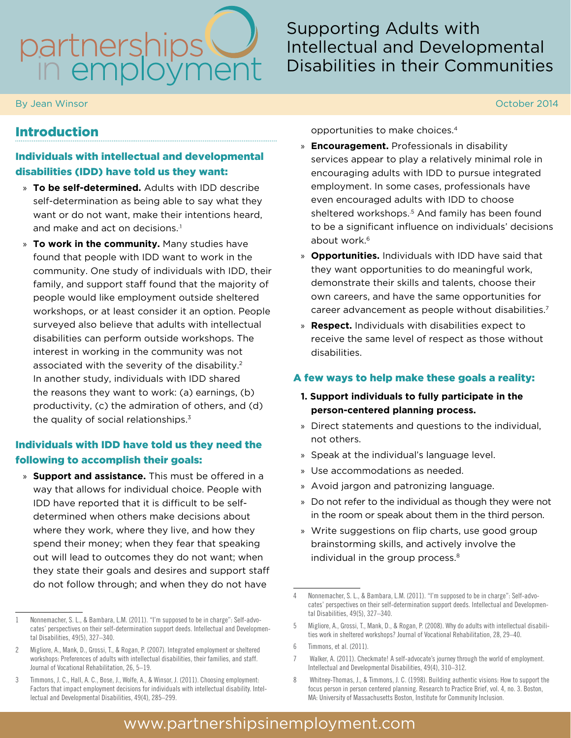# partnerships

By Jean Winsor October 2014

# Supporting Adults with Intellectual and Developmental Disabilities in their Communities

# Introduction

#### Individuals with intellectual and developmental disabilities (IDD) have told us they want:

- » **To be self-determined.** Adults with IDD describe self-determination as being able to say what they want or do not want, make their intentions heard, and make and act on decisions.<sup>1</sup>
- » **To work in the community.** Many studies have found that people with IDD want to work in the community. One study of individuals with IDD, their family, and support staff found that the majority of people would like employment outside sheltered workshops, or at least consider it an option. People surveyed also believe that adults with intellectual disabilities can perform outside workshops. The interest in working in the community was not associated with the severity of the disability.2 In another study, individuals with IDD shared the reasons they want to work: (a) earnings, (b) productivity, (c) the admiration of others, and (d) the quality of social relationships.<sup>3</sup>

## Individuals with IDD have told us they need the following to accomplish their goals:

» **Support and assistance.** This must be offered in a way that allows for individual choice. People with IDD have reported that it is difficult to be selfdetermined when others make decisions about where they work, where they live, and how they spend their money; when they fear that speaking out will lead to outcomes they do not want; when they state their goals and desires and support staff do not follow through; and when they do not have

opportunities to make choices.4

- » **Encouragement.** Professionals in disability services appear to play a relatively minimal role in encouraging adults with IDD to pursue integrated employment. In some cases, professionals have even encouraged adults with IDD to choose sheltered workshops.<sup>5</sup> And family has been found to be a significant influence on individuals' decisions about work.<sup>6</sup>
- » **Opportunities.** Individuals with IDD have said that they want opportunities to do meaningful work, demonstrate their skills and talents, choose their own careers, and have the same opportunities for career advancement as people without disabilities.7
- » **Respect.** Individuals with disabilities expect to receive the same level of respect as those without disabilities.

#### A few ways to help make these goals a reality:

#### **1. Support individuals to fully participate in the person-centered planning process.**

- » Direct statements and questions to the individual, not others.
- » Speak at the individual's language level.
- » Use accommodations as needed.
- » Avoid jargon and patronizing language.
- » Do not refer to the individual as though they were not in the room or speak about them in the third person.
- » Write suggestions on flip charts, use good group brainstorming skills, and actively involve the individual in the group process.<sup>8</sup>

# www.partnershipsinemployment.com

<sup>1</sup> Nonnemacher, S. L., & Bambara, L.M. (2011). ''I'm supposed to be in charge'': Self-advocates' perspectives on their self-determination support deeds. Intellectual and Developmental Disabilities, 49(5), 327–340.

<sup>2</sup> Migliore, A., Mank, D., Grossi, T., & Rogan, P. (2007). Integrated employment or sheltered workshops: Preferences of adults with intellectual disabilities, their families, and staff. Journal of Vocational Rehabilitation, 26, 5–19.

<sup>3</sup> Timmons, J. C., Hall, A. C., Bose, J., Wolfe, A., & Winsor, J. (2011). Choosing employment: Factors that impact employment decisions for individuals with intellectual disability. Intellectual and Developmental Disabilities, 49(4), 285–299.

<sup>4</sup> Nonnemacher, S. L., & Bambara, L.M. (2011). ''I'm supposed to be in charge'': Self-advocates' perspectives on their self-determination support deeds. Intellectual and Developmental Disabilities, 49(5), 327–340.

<sup>5</sup> Migliore, A., Grossi, T., Mank, D., & Rogan, P. (2008). Why do adults with intellectual disabilities work in sheltered workshops? Journal of Vocational Rehabilitation, 28, 29–40.

<sup>6</sup> Timmons, et al. (2011).

<sup>7</sup> Walker, A. (2011). Checkmate! A self-advocate's journey through the world of employment. Intellectual and Developmental Disabilities, 49(4), 310–312.

<sup>8</sup> Whitney-Thomas, J., & Timmons, J. C. (1998). Building authentic visions: How to support the focus person in person centered planning. Research to Practice Brief, vol. 4, no. 3. Boston, MA: University of Massachusetts Boston, Institute for Community Inclusion.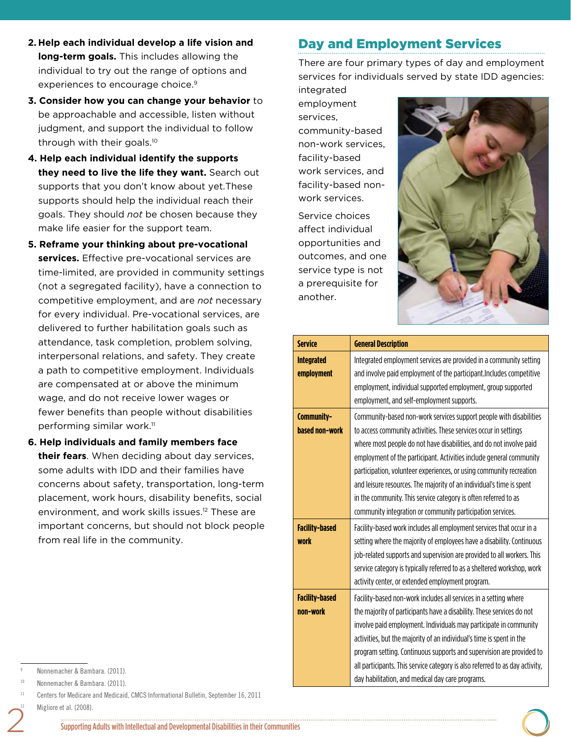- **2. Help each individual develop a life vision and long-term goals.** This includes allowing the individual to try out the range of options and experiences to encourage choice.<sup>9</sup>
- **3. Consider how you can change your behavior** to be approachable and accessible, listen without judgment, and support the individual to follow through with their goals.10
- **4. Help each individual identify the supports they need to live the life they want.** Search out supports that you don't know about yet.These supports should help the individual reach their goals. They should *not* be chosen because they make life easier for the support team.
- **5. Reframe your thinking about pre-vocational services.** Effective pre-vocational services are time-limited, are provided in community settings (not a segregated facility), have a connection to competitive employment, and are *not* necessary for every individual. Pre-vocational services, are delivered to further habilitation goals such as attendance, task completion, problem solving, interpersonal relations, and safety. They create a path to competitive employment. Individuals are compensated at or above the minimum wage, and do not receive lower wages or fewer benefits than people without disabilities performing similar work.11
- **6. Help individuals and family members face their fears**. When deciding about day services, some adults with IDD and their families have concerns about safety, transportation, long-term placement, work hours, disability benefits, social environment, and work skills issues.<sup>12</sup> These are important concerns, but should not block people from real life in the community.

# Day and Employment Services

There are four primary types of day and employment services for individuals served by state IDD agencies:

integrated employment services, community-based non-work services, facility-based work services, and facility-based nonwork services.

Service choices affect individual opportunities and outcomes, and one service type is not a prerequisite for another.



| <b>Service</b>                       | <b>General Description</b>                                                                                                                                                                                                                                                                                                                                                                                                                                                                                                                                           |
|--------------------------------------|----------------------------------------------------------------------------------------------------------------------------------------------------------------------------------------------------------------------------------------------------------------------------------------------------------------------------------------------------------------------------------------------------------------------------------------------------------------------------------------------------------------------------------------------------------------------|
| <b>Integrated</b><br>employment      | Integrated employment services are provided in a community setting<br>and involve paid employment of the participant. Includes competitive<br>employment, individual supported employment, group supported<br>employment, and self-employment supports.                                                                                                                                                                                                                                                                                                              |
| Community-<br>based non-work         | Community-based non-work services support people with disabilities<br>to access community activities. These services occur in settings<br>where most people do not have disabilities, and do not involve paid<br>employment of the participant. Activities include general community<br>participation, volunteer experiences, or using community recreation<br>and leisure resources. The majority of an individual's time is spent<br>in the community. This service category is often referred to as<br>community integration or community participation services. |
| <b>Facility-based</b><br><b>work</b> | Facility-based work includes all employment services that occur in a<br>setting where the majority of employees have a disability. Continuous<br>job-related supports and supervision are provided to all workers. This<br>service category is typically referred to as a sheltered workshop, work<br>activity center, or extended employment program.                                                                                                                                                                                                               |
| <b>Facility-based</b><br>non-work    | Facility-based non-work includes all services in a setting where<br>the majority of participants have a disability. These services do not<br>involve paid employment. Individuals may participate in community<br>activities, but the majority of an individual's time is spent in the<br>program setting. Continuous supports and supervision are provided to<br>all participants. This service category is also referred to as day activity,<br>day habilitation, and medical day care programs.                                                                   |

Nonnemacher & Bambara. (2011).

Nonnemacher & Bambara. (2011).

<sup>11</sup> Centers for Medicare and Medicaid, CMCS Informational Bulletin, September 16, 2011 Migliore et al. (2008).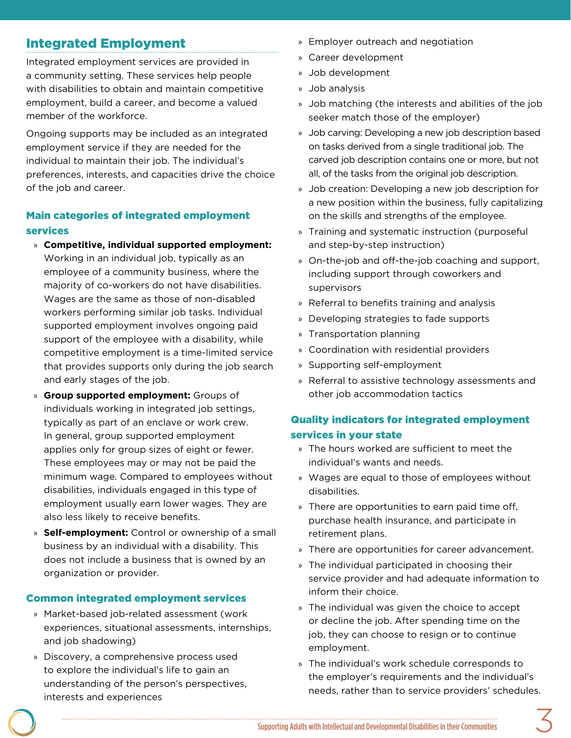# Integrated Employment

Integrated employment services are provided in a community setting. These services help people with disabilities to obtain and maintain competitive employment, build a career, and become a valued member of the workforce.

Ongoing supports may be included as an integrated employment service if they are needed for the individual to maintain their job. The individual's preferences, interests, and capacities drive the choice of the job and career.

#### Main categories of integrated employment services

- » **Competitive, individual supported employment:**  Working in an individual job, typically as an employee of a community business, where the majority of co-workers do not have disabilities. Wages are the same as those of non-disabled workers performing similar job tasks. Individual supported employment involves ongoing paid support of the employee with a disability, while competitive employment is a time-limited service that provides supports only during the job search and early stages of the job.
- » **Group supported employment:** Groups of individuals working in integrated job settings, typically as part of an enclave or work crew. In general, group supported employment applies only for group sizes of eight or fewer. These employees may or may not be paid the minimum wage. Compared to employees without disabilities, individuals engaged in this type of employment usually earn lower wages. They are also less likely to receive benefits.
- » **Self-employment:** Control or ownership of a small business by an individual with a disability. This does not include a business that is owned by an organization or provider.

#### Common integrated employment services

- » Market-based job-related assessment (work experiences, situational assessments, internships, and job shadowing)
- » Discovery, a comprehensive process used to explore the individual's life to gain an understanding of the person's perspectives, interests and experiences
- » Employer outreach and negotiation
- » Career development
- » Job development
- » Job analysis
- » Job matching (the interests and abilities of the job seeker match those of the employer)
- » Job carving: Developing a new job description based on tasks derived from a single traditional job. The carved job description contains one or more, but not all, of the tasks from the original job description.
- » Job creation: Developing a new job description for a new position within the business, fully capitalizing on the skills and strengths of the employee.
- » Training and systematic instruction (purposeful and step-by-step instruction)
- » On-the-job and off-the-job coaching and support, including support through coworkers and supervisors
- » Referral to benefits training and analysis
- » Developing strategies to fade supports
- » Transportation planning
- » Coordination with residential providers
- » Supporting self-employment
- » Referral to assistive technology assessments and other job accommodation tactics

## Quality indicators for integrated employment services in your state

- » The hours worked are sufficient to meet the individual's wants and needs.
- » Wages are equal to those of employees without disabilities.
- » There are opportunities to earn paid time off, purchase health insurance, and participate in retirement plans.
- » There are opportunities for career advancement.
- » The individual participated in choosing their service provider and had adequate information to inform their choice.
- » The individual was given the choice to accept or decline the job. After spending time on the job, they can choose to resign or to continue employment.
- » The individual's work schedule corresponds to the employer's requirements and the individual's needs, rather than to service providers' schedules.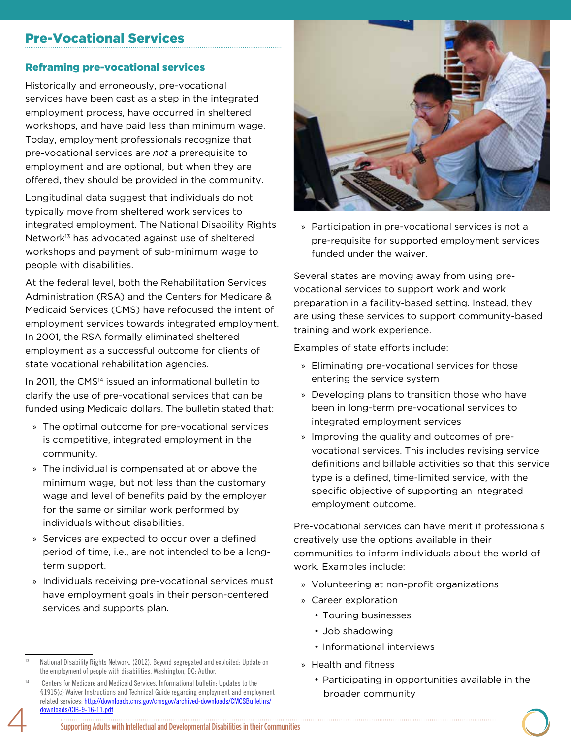## Pre-Vocational Services

#### Reframing pre-vocational services

Historically and erroneously, pre-vocational services have been cast as a step in the integrated employment process, have occurred in sheltered workshops, and have paid less than minimum wage. Today, employment professionals recognize that pre-vocational services are *not* a prerequisite to employment and are optional, but when they are offered, they should be provided in the community.

Longitudinal data suggest that individuals do not typically move from sheltered work services to integrated employment. The National Disability Rights Network13 has advocated against use of sheltered workshops and payment of sub-minimum wage to people with disabilities.

At the federal level, both the Rehabilitation Services Administration (RSA) and the Centers for Medicare & Medicaid Services (CMS) have refocused the intent of employment services towards integrated employment. In 2001, the RSA formally eliminated sheltered employment as a successful outcome for clients of state vocational rehabilitation agencies.

In 2011, the CMS<sup>14</sup> issued an informational bulletin to clarify the use of pre-vocational services that can be funded using Medicaid dollars. The bulletin stated that:

- » The optimal outcome for pre-vocational services is competitive, integrated employment in the community.
- » The individual is compensated at or above the minimum wage, but not less than the customary wage and level of benefits paid by the employer for the same or similar work performed by individuals without disabilities.
- » Services are expected to occur over a defined period of time, i.e., are not intended to be a longterm support.
- » Individuals receiving pre-vocational services must have employment goals in their person-centered services and supports plan.



» Participation in pre-vocational services is not a pre-requisite for supported employment services funded under the waiver.

Several states are moving away from using prevocational services to support work and work preparation in a facility-based setting. Instead, they are using these services to support community-based training and work experience.

Examples of state efforts include:

- » Eliminating pre-vocational services for those entering the service system
- » Developing plans to transition those who have been in long-term pre-vocational services to integrated employment services
- » Improving the quality and outcomes of prevocational services. This includes revising service definitions and billable activities so that this service type is a defined, time-limited service, with the specific objective of supporting an integrated employment outcome.

Pre-vocational services can have merit if professionals creatively use the options available in their communities to inform individuals about the world of work. Examples include:

- » Volunteering at non-profit organizations
- » Career exploration
	- Touring businesses
	- Job shadowing
	- Informational interviews
- » Health and fitness
	- Participating in opportunities available in the broader community

<sup>13</sup> National Disability Rights Network. (2012). Beyond segregated and exploited: Update on the employment of people with disabilities. Washington, DC: Author.

Centers for Medicare and Medicaid Services. Informational bulletin: Updates to the §1915(c) Waiver Instructions and Technical Guide regarding employment and employment related services: http://downloads.cms.gov/cmsgov/archived-downloads/CMCSBulletins/ downloads/CIB-9-16-11.pdf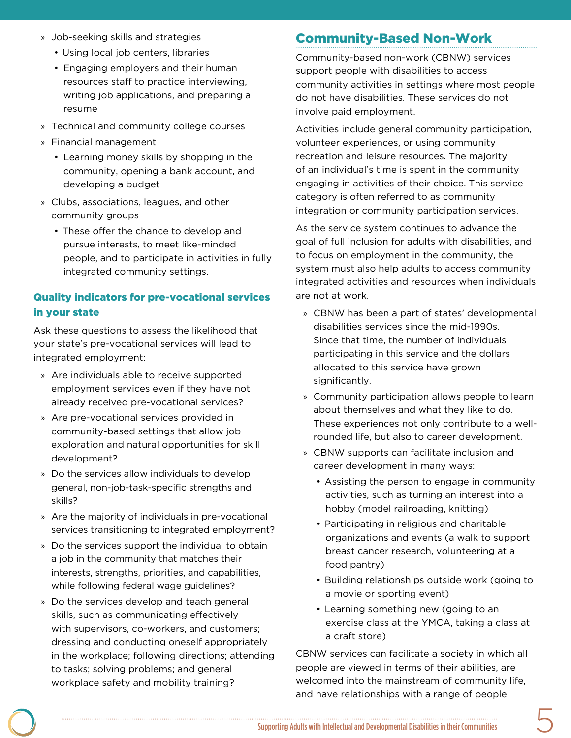- » Job-seeking skills and strategies
	- Using local job centers, libraries
	- Engaging employers and their human resources staff to practice interviewing, writing job applications, and preparing a resume
- » Technical and community college courses
- » Financial management
	- Learning money skills by shopping in the community, opening a bank account, and developing a budget
- » Clubs, associations, leagues, and other community groups
	- These offer the chance to develop and pursue interests, to meet like-minded people, and to participate in activities in fully integrated community settings.

## Quality indicators for pre-vocational services in your state

Ask these questions to assess the likelihood that your state's pre-vocational services will lead to integrated employment:

- » Are individuals able to receive supported employment services even if they have not already received pre-vocational services?
- » Are pre-vocational services provided in community-based settings that allow job exploration and natural opportunities for skill development?
- » Do the services allow individuals to develop general, non-job-task-specific strengths and skills?
- » Are the majority of individuals in pre-vocational services transitioning to integrated employment?
- » Do the services support the individual to obtain a job in the community that matches their interests, strengths, priorities, and capabilities, while following federal wage guidelines?
- » Do the services develop and teach general skills, such as communicating effectively with supervisors, co-workers, and customers; dressing and conducting oneself appropriately in the workplace; following directions; attending to tasks; solving problems; and general workplace safety and mobility training?

# Community-Based Non-Work

Community-based non-work (CBNW) services support people with disabilities to access community activities in settings where most people do not have disabilities. These services do not involve paid employment.

Activities include general community participation, volunteer experiences, or using community recreation and leisure resources. The majority of an individual's time is spent in the community engaging in activities of their choice. This service category is often referred to as community integration or community participation services.

As the service system continues to advance the goal of full inclusion for adults with disabilities, and to focus on employment in the community, the system must also help adults to access community integrated activities and resources when individuals are not at work.

- » CBNW has been a part of states' developmental disabilities services since the mid-1990s. Since that time, the number of individuals participating in this service and the dollars allocated to this service have grown significantly.
- » Community participation allows people to learn about themselves and what they like to do. These experiences not only contribute to a wellrounded life, but also to career development.
- » CBNW supports can facilitate inclusion and career development in many ways:
	- Assisting the person to engage in community activities, such as turning an interest into a hobby (model railroading, knitting)
	- Participating in religious and charitable organizations and events (a walk to support breast cancer research, volunteering at a food pantry)
	- Building relationships outside work (going to a movie or sporting event)
	- Learning something new (going to an exercise class at the YMCA, taking a class at a craft store)

CBNW services can facilitate a society in which all people are viewed in terms of their abilities, are welcomed into the mainstream of community life, and have relationships with a range of people.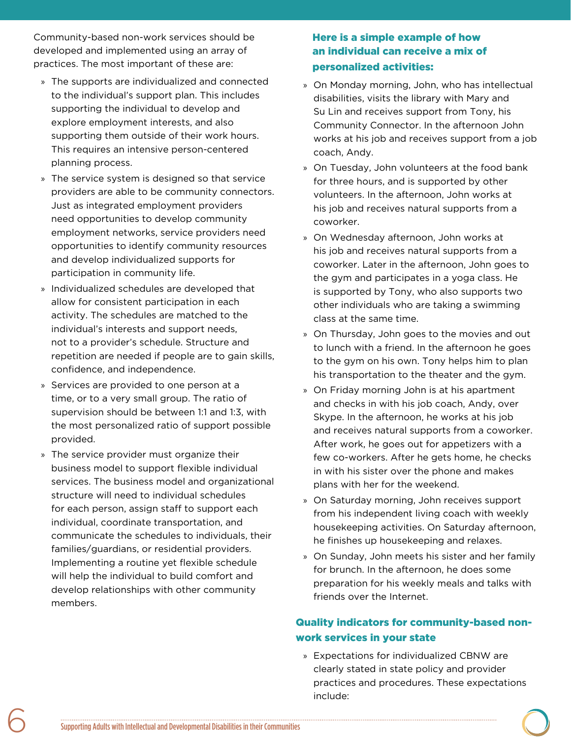Community-based non-work services should be developed and implemented using an array of practices. The most important of these are:

- » The supports are individualized and connected to the individual's support plan. This includes supporting the individual to develop and explore employment interests, and also supporting them outside of their work hours. This requires an intensive person-centered planning process.
- » The service system is designed so that service providers are able to be community connectors. Just as integrated employment providers need opportunities to develop community employment networks, service providers need opportunities to identify community resources and develop individualized supports for participation in community life.
- » Individualized schedules are developed that allow for consistent participation in each activity. The schedules are matched to the individual's interests and support needs, not to a provider's schedule. Structure and repetition are needed if people are to gain skills, confidence, and independence.
- » Services are provided to one person at a time, or to a very small group. The ratio of supervision should be between 1:1 and 1:3, with the most personalized ratio of support possible provided.
- » The service provider must organize their business model to support flexible individual services. The business model and organizational structure will need to individual schedules for each person, assign staff to support each individual, coordinate transportation, and communicate the schedules to individuals, their families/guardians, or residential providers. Implementing a routine yet flexible schedule will help the individual to build comfort and develop relationships with other community members.

#### Here is a simple example of how an individual can receive a mix of personalized activities:

- » On Monday morning, John, who has intellectual disabilities, visits the library with Mary and Su Lin and receives support from Tony, his Community Connector. In the afternoon John works at his job and receives support from a job coach, Andy.
- » On Tuesday, John volunteers at the food bank for three hours, and is supported by other volunteers. In the afternoon, John works at his job and receives natural supports from a coworker.
- » On Wednesday afternoon, John works at his job and receives natural supports from a coworker. Later in the afternoon, John goes to the gym and participates in a yoga class. He is supported by Tony, who also supports two other individuals who are taking a swimming class at the same time.
- » On Thursday, John goes to the movies and out to lunch with a friend. In the afternoon he goes to the gym on his own. Tony helps him to plan his transportation to the theater and the gym.
- » On Friday morning John is at his apartment and checks in with his job coach, Andy, over Skype. In the afternoon, he works at his job and receives natural supports from a coworker. After work, he goes out for appetizers with a few co-workers. After he gets home, he checks in with his sister over the phone and makes plans with her for the weekend.
- » On Saturday morning, John receives support from his independent living coach with weekly housekeeping activities. On Saturday afternoon, he finishes up housekeeping and relaxes.
- » On Sunday, John meets his sister and her family for brunch. In the afternoon, he does some preparation for his weekly meals and talks with friends over the Internet.

## Quality indicators for community-based nonwork services in your state

» Expectations for individualized CBNW are clearly stated in state policy and provider practices and procedures. These expectations include: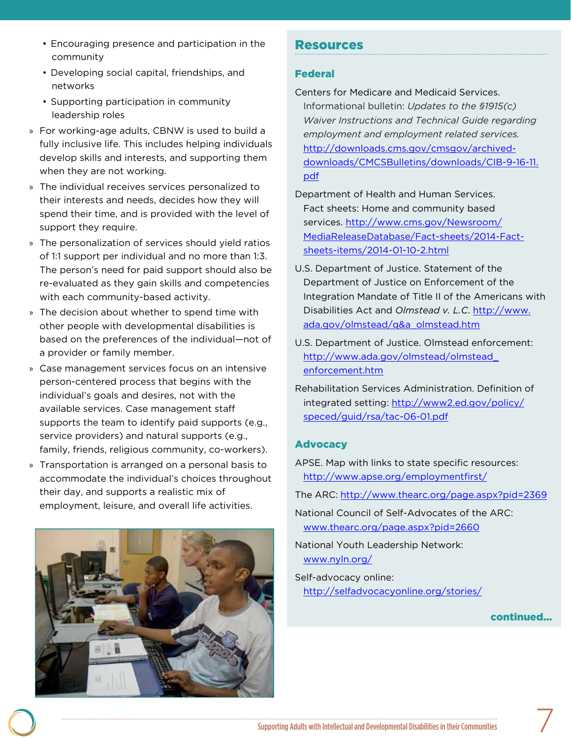- Encouraging presence and participation in the community
- Developing social capital, friendships, and networks
- Supporting participation in community leadership roles
- » For working-age adults, CBNW is used to build a fully inclusive life. This includes helping individuals develop skills and interests, and supporting them when they are not working.
- » The individual receives services personalized to their interests and needs, decides how they will spend their time, and is provided with the level of support they require.
- » The personalization of services should yield ratios of 1:1 support per individual and no more than 1:3. The person's need for paid support should also be re-evaluated as they gain skills and competencies with each community-based activity.
- » The decision about whether to spend time with other people with developmental disabilities is based on the preferences of the individual—not of a provider or family member.
- » Case management services focus on an intensive person-centered process that begins with the individual's goals and desires, not with the available services. Case management staff supports the team to identify paid supports (e.g., service providers) and natural supports (e.g., family, friends, religious community, co-workers).
- » Transportation is arranged on a personal basis to accommodate the individual's choices throughout their day, and supports a realistic mix of employment, leisure, and overall life activities.



## Resources

#### Federal

- Centers for Medicare and Medicaid Services. Informational bulletin: *Updates to the §1915(c) Waiver Instructions and Technical Guide regarding employment and employment related services.*  http://downloads.cms.gov/cmsgov/archiveddownloads/CMCSBulletins/downloads/CIB-9-16-11. pdf
- Department of Health and Human Services. Fact sheets: Home and community based services. http://www.cms.gov/Newsroom/ MediaReleaseDatabase/Fact-sheets/2014-Factsheets-items/2014-01-10-2.html
- U.S. Department of Justice. Statement of the Department of Justice on Enforcement of the Integration Mandate of Title II of the Americans with Disabilities Act and *Olmstead v. L.C*. http://www. ada.gov/olmstead/q&a\_olmstead.htm
- U.S. Department of Justice. Olmstead enforcement: http://www.ada.gov/olmstead/olmstead\_ enforcement.htm
- Rehabilitation Services Administration. Definition of integrated setting: http://www2.ed.gov/policy/ speced/guid/rsa/tac-06-01.pdf

#### Advocacy

APSE. Map with links to state specific resources: http://www.apse.org/employmentfirst/

The ARC: http://www.thearc.org/page.aspx?pid=2369

National Council of Self-Advocates of the ARC: www.thearc.org/page.aspx?pid=2660

National Youth Leadership Network: www.nyln.org/

Self-advocacy online: http://selfadvocacyonline.org/stories/

continued...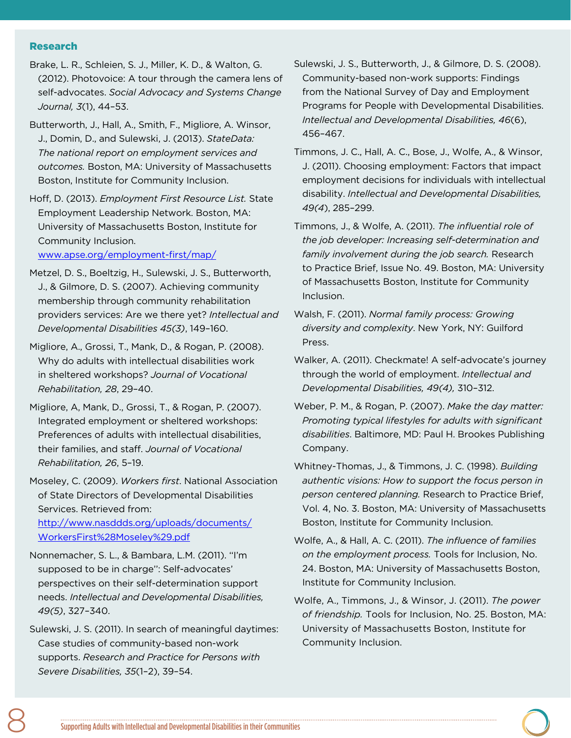Research

- Brake, L. R., Schleien, S. J., Miller, K. D., & Walton, G. (2012). Photovoice: A tour through the camera lens of self-advocates. *Social Advocacy and Systems Change Journal, 3*(1), 44–53.
- Butterworth, J., Hall, A., Smith, F., Migliore, A. Winsor, J., Domin, D., and Sulewski, J. (2013). *StateData: The national report on employment services and outcomes.* Boston, MA: University of Massachusetts Boston, Institute for Community Inclusion.
- Hoff, D. (2013). *Employment First Resource List.* State Employment Leadership Network. Boston, MA: University of Massachusetts Boston, Institute for Community Inclusion.

www.apse.org/employment-first/map/

- Metzel, D. S., Boeltzig, H., Sulewski, J. S., Butterworth, J., & Gilmore, D. S. (2007). Achieving community membership through community rehabilitation providers services: Are we there yet? *Intellectual and Developmental Disabilities 45(3)*, 149–160.
- Migliore, A., Grossi, T., Mank, D., & Rogan, P. (2008). Why do adults with intellectual disabilities work in sheltered workshops? *Journal of Vocational Rehabilitation, 28*, 29–40.
- Migliore, A, Mank, D., Grossi, T., & Rogan, P. (2007). Integrated employment or sheltered workshops: Preferences of adults with intellectual disabilities, their families, and staff. *Journal of Vocational Rehabilitation, 26*, 5–19.
- Moseley, C. (2009). *Workers first*. National Association of State Directors of Developmental Disabilities Services. Retrieved from:

http://www.nasddds.org/uploads/documents/ WorkersFirst%28Moseley%29.pdf

- Nonnemacher, S. L., & Bambara, L.M. (2011). ''I'm supposed to be in charge'': Self-advocates' perspectives on their self-determination support needs. *Intellectual and Developmental Disabilities, 49(5)*, 327–340.
- Sulewski, J. S. (2011). In search of meaningful daytimes: Case studies of community-based non-work supports. *Research and Practice for Persons with Severe Disabilities, 35*(1–2), 39–54.
- Sulewski, J. S., Butterworth, J., & Gilmore, D. S. (2008). Community-based non-work supports: Findings from the National Survey of Day and Employment Programs for People with Developmental Disabilities. *Intellectual and Developmental Disabilities, 46*(6), 456–467.
- Timmons, J. C., Hall, A. C., Bose, J., Wolfe, A., & Winsor, J. (2011). Choosing employment: Factors that impact employment decisions for individuals with intellectual disability. *Intellectual and Developmental Disabilities, 49(4*), 285–299.
- Timmons, J., & Wolfe, A. (2011). *The influential role of the job developer: Increasing self-determination and family involvement during the job search.* Research to Practice Brief, Issue No. 49. Boston, MA: University of Massachusetts Boston, Institute for Community Inclusion.
- Walsh, F. (2011). *Normal family process: Growing diversity and complexity*. New York, NY: Guilford Press.
- Walker, A. (2011). Checkmate! A self-advocate's journey through the world of employment. *Intellectual and Developmental Disabilities, 49(4),* 310–312.
- Weber, P. M., & Rogan, P. (2007). *Make the day matter: Promoting typical lifestyles for adults with significant disabilities*. Baltimore, MD: Paul H. Brookes Publishing Company.
- Whitney-Thomas, J., & Timmons, J. C. (1998). *Building authentic visions: How to support the focus person in person centered planning.* Research to Practice Brief, Vol. 4, No. 3. Boston, MA: University of Massachusetts Boston, Institute for Community Inclusion.
- Wolfe, A., & Hall, A. C. (2011). *The influence of families on the employment process.* Tools for Inclusion, No. 24. Boston, MA: University of Massachusetts Boston, Institute for Community Inclusion.
- Wolfe, A., Timmons, J., & Winsor, J. (2011). *The power of friendship.* Tools for Inclusion, No. 25. Boston, MA: University of Massachusetts Boston, Institute for Community Inclusion.